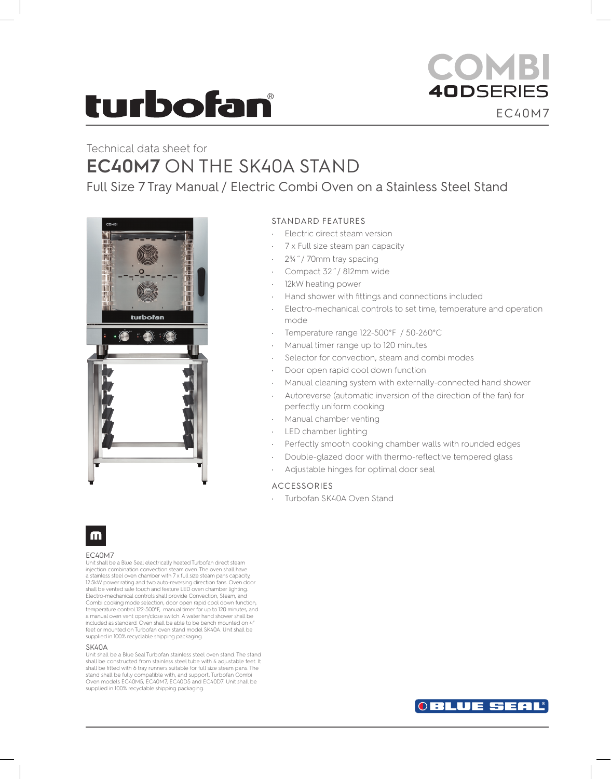# turbofan

## **COMBI 40DSERIES** EC40M7

## Technical data sheet for **EC40M7** ON THE SK40A STAND

Full Size 7 Tray Manual / Electric Combi Oven on a Stainless Steel Stand



#### STANDARD FEATURES

- Electric direct steam version
- 7 x Full size steam pan capacity
- 2¾˝/ 70mm tray spacing
- Compact 32˝/ 812mm wide
- 12kW heating power
- Hand shower with fittings and connections included
- Electro-mechanical controls to set time, temperature and operation mode
- Temperature range 122-500°F / 50-260°C
- Manual timer range up to 120 minutes
- Selector for convection, steam and combi modes
- Door open rapid cool down function
- Manual cleaning system with externally-connected hand shower
- Autoreverse (automatic inversion of the direction of the fan) for perfectly uniform cooking
- Manual chamber venting
- LED chamber lighting
- Perfectly smooth cooking chamber walls with rounded edges
- Double-glazed door with thermo-reflective tempered glass
- Adjustable hinges for optimal door seal

#### ACCESSORIES

Turbofan SK40A Oven Stand



#### EC40M7

Unit shall be a Blue Seal electrically heated Turbofan direct steam injection combination convection steam oven. The oven shall have a stainless steel oven chamber with 7 x full size steam pans capacity, 12.5kW power rating and two auto-reversing direction fans. Oven door shall be vented safe touch and feature LED oven chamber lighting. Electro-mechanical controls shall provide Convection, Steam, and Combi cooking mode selection, door open rapid cool down function, temperature control 122-500°F, manual timer for up to 120 minutes, and a manual oven vent open/close switch. A water hand shower shall be included as standard. Oven shall be able to be bench mounted on 4" feet or mounted on Turbofan oven stand model SK40A. Unit shall be supplied in 100% recyclable shipping packaging.

#### SK40A

Unit shall be a Blue Seal Turbofan stainless steel oven stand. The stand shall be constructed from stainless steel tube with 4 adjustable feet. It shall be fitted with 6 tray runners suitable for full size steam pans. The stand shall be fully compatible with, and support, Turbofan Combi Oven models EC40M5, EC40M7, EC40D5 and EC40D7. Unit shall be supplied in 100% recyclable shipping packaging.